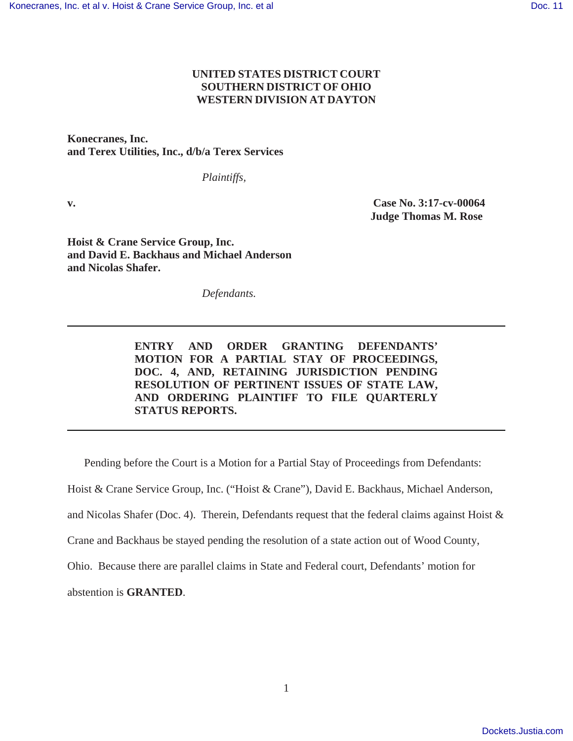# **UNITED STATES DISTRICT COURT SOUTHERN DISTRICT OF OHIO WESTERN DIVISION AT DAYTON**

**Konecranes, Inc. and Terex Utilities, Inc., d/b/a Terex Services**

*Plaintiffs,*

**v. Case No. 3:17-cv-00064 Judge Thomas M. Rose** 

**Hoist & Crane Service Group, Inc. and David E. Backhaus and Michael Anderson and Nicolas Shafer.** 

*Defendants.*

**ENTRY AND ORDER GRANTING DEFENDANTS' MOTION FOR A PARTIAL STAY OF PROCEEDINGS, DOC. 4, AND, RETAINING JURISDICTION PENDING RESOLUTION OF PERTINENT ISSUES OF STATE LAW, AND ORDERING PLAINTIFF TO FILE QUARTERLY STATUS REPORTS.** 

Pending before the Court is a Motion for a Partial Stay of Proceedings from Defendants:

Hoist & Crane Service Group, Inc. ("Hoist & Crane"), David E. Backhaus, Michael Anderson,

and Nicolas Shafer (Doc. 4). Therein, Defendants request that the federal claims against Hoist &

Crane and Backhaus be stayed pending the resolution of a state action out of Wood County,

Ohio. Because there are parallel claims in State and Federal court, Defendants' motion for

abstention is **GRANTED**.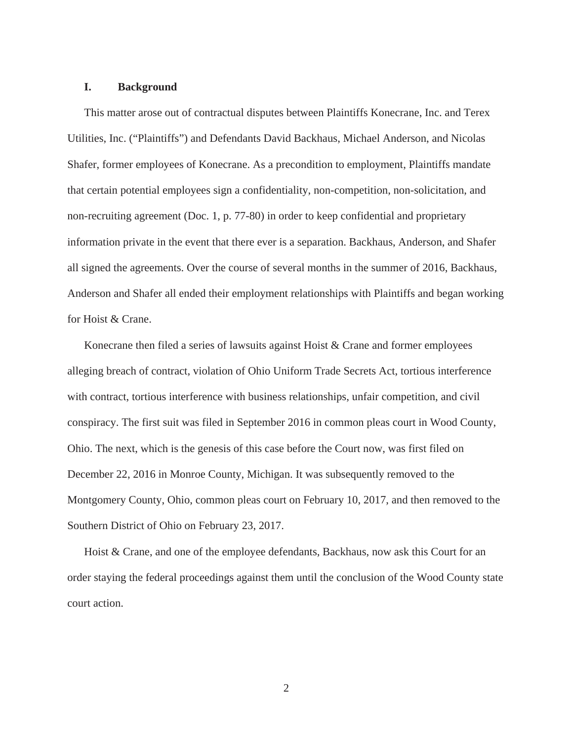#### **I. Background**

This matter arose out of contractual disputes between Plaintiffs Konecrane, Inc. and Terex Utilities, Inc. ("Plaintiffs") and Defendants David Backhaus, Michael Anderson, and Nicolas Shafer, former employees of Konecrane. As a precondition to employment, Plaintiffs mandate that certain potential employees sign a confidentiality, non-competition, non-solicitation, and non-recruiting agreement (Doc. 1, p. 77-80) in order to keep confidential and proprietary information private in the event that there ever is a separation. Backhaus, Anderson, and Shafer all signed the agreements. Over the course of several months in the summer of 2016, Backhaus, Anderson and Shafer all ended their employment relationships with Plaintiffs and began working for Hoist & Crane.

Konecrane then filed a series of lawsuits against Hoist  $&$  Crane and former employees alleging breach of contract, violation of Ohio Uniform Trade Secrets Act, tortious interference with contract, tortious interference with business relationships, unfair competition, and civil conspiracy. The first suit was filed in September 2016 in common pleas court in Wood County, Ohio. The next, which is the genesis of this case before the Court now, was first filed on December 22, 2016 in Monroe County, Michigan. It was subsequently removed to the Montgomery County, Ohio, common pleas court on February 10, 2017, and then removed to the Southern District of Ohio on February 23, 2017.

Hoist & Crane, and one of the employee defendants, Backhaus, now ask this Court for an order staying the federal proceedings against them until the conclusion of the Wood County state court action.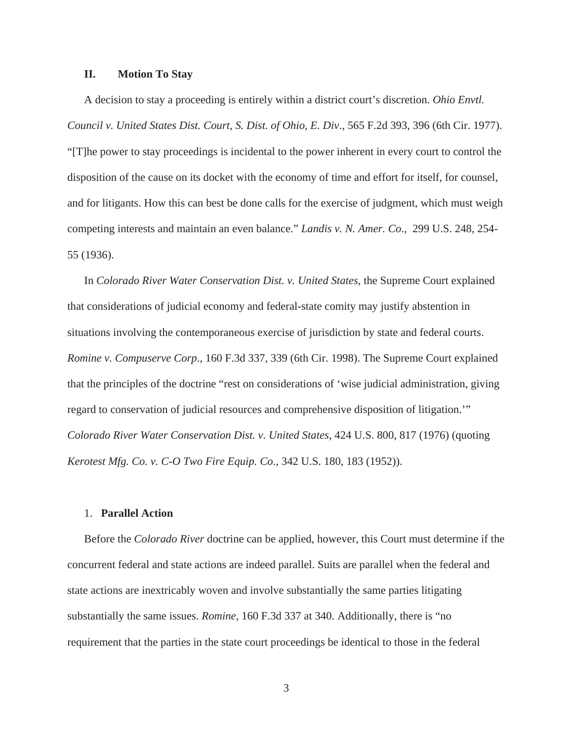#### **II. Motion To Stay**

A decision to stay a proceeding is entirely within a district court's discretion. *Ohio Envtl. Council v. United States Dist. Court, S. Dist. of Ohio, E. Div*., 565 F.2d 393, 396 (6th Cir. 1977). "[T]he power to stay proceedings is incidental to the power inherent in every court to control the disposition of the cause on its docket with the economy of time and effort for itself, for counsel, and for litigants. How this can best be done calls for the exercise of judgment, which must weigh competing interests and maintain an even balance." *Landis v. N. Amer. Co*., 299 U.S. 248, 254- 55 (1936).

In *Colorado River Water Conservation Dist. v. United States*, the Supreme Court explained that considerations of judicial economy and federal-state comity may justify abstention in situations involving the contemporaneous exercise of jurisdiction by state and federal courts. *Romine v. Compuserve Corp*., 160 F.3d 337, 339 (6th Cir. 1998). The Supreme Court explained that the principles of the doctrine "rest on considerations of 'wise judicial administration, giving regard to conservation of judicial resources and comprehensive disposition of litigation.'" *Colorado River Water Conservation Dist. v. United States*, 424 U.S. 800, 817 (1976) (quoting *Kerotest Mfg. Co. v. C-O Two Fire Equip. Co*., 342 U.S. 180, 183 (1952)).

# 1. **Parallel Action**

Before the *Colorado River* doctrine can be applied, however, this Court must determine if the concurrent federal and state actions are indeed parallel. Suits are parallel when the federal and state actions are inextricably woven and involve substantially the same parties litigating substantially the same issues. *Romine*, 160 F.3d 337 at 340. Additionally, there is "no requirement that the parties in the state court proceedings be identical to those in the federal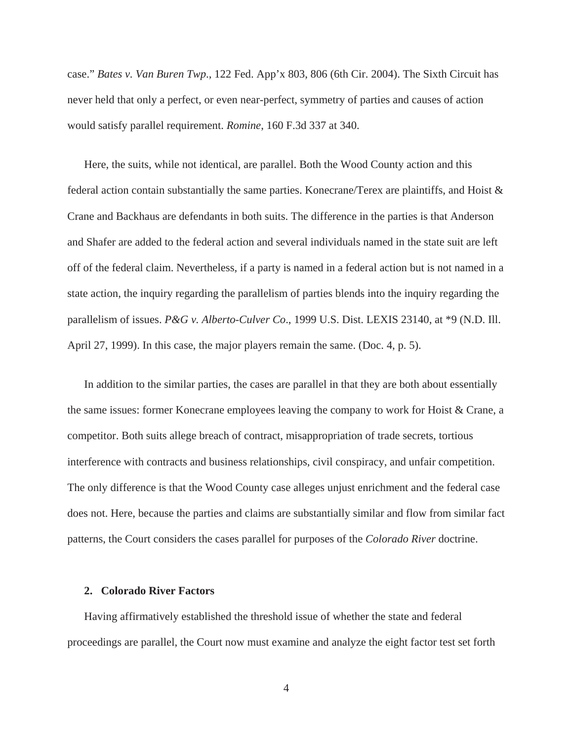case." *Bates v. Van Buren Twp*., 122 Fed. App'x 803, 806 (6th Cir. 2004). The Sixth Circuit has never held that only a perfect, or even near-perfect, symmetry of parties and causes of action would satisfy parallel requirement. *Romine*, 160 F.3d 337 at 340.

Here, the suits, while not identical, are parallel. Both the Wood County action and this federal action contain substantially the same parties. Konecrane/Terex are plaintiffs, and Hoist & Crane and Backhaus are defendants in both suits. The difference in the parties is that Anderson and Shafer are added to the federal action and several individuals named in the state suit are left off of the federal claim. Nevertheless, if a party is named in a federal action but is not named in a state action, the inquiry regarding the parallelism of parties blends into the inquiry regarding the parallelism of issues. *P&G v. Alberto-Culver Co*., 1999 U.S. Dist. LEXIS 23140, at \*9 (N.D. Ill. April 27, 1999). In this case, the major players remain the same. (Doc. 4, p. 5).

In addition to the similar parties, the cases are parallel in that they are both about essentially the same issues: former Konecrane employees leaving the company to work for Hoist & Crane, a competitor. Both suits allege breach of contract, misappropriation of trade secrets, tortious interference with contracts and business relationships, civil conspiracy, and unfair competition. The only difference is that the Wood County case alleges unjust enrichment and the federal case does not. Here, because the parties and claims are substantially similar and flow from similar fact patterns, the Court considers the cases parallel for purposes of the *Colorado River* doctrine.

#### **2. Colorado River Factors**

Having affirmatively established the threshold issue of whether the state and federal proceedings are parallel, the Court now must examine and analyze the eight factor test set forth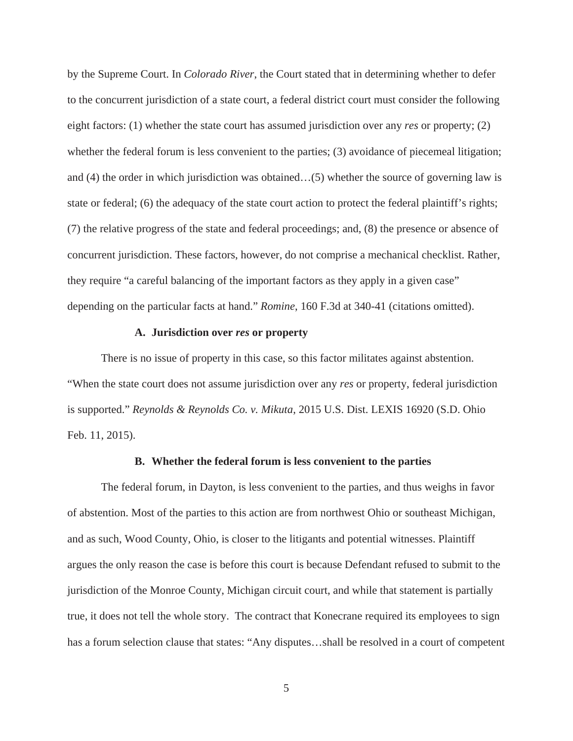by the Supreme Court. In *Colorado River*, the Court stated that in determining whether to defer to the concurrent jurisdiction of a state court, a federal district court must consider the following eight factors: (1) whether the state court has assumed jurisdiction over any *res* or property; (2) whether the federal forum is less convenient to the parties; (3) avoidance of piecemeal litigation; and (4) the order in which jurisdiction was obtained…(5) whether the source of governing law is state or federal; (6) the adequacy of the state court action to protect the federal plaintiff's rights; (7) the relative progress of the state and federal proceedings; and, (8) the presence or absence of concurrent jurisdiction. These factors, however, do not comprise a mechanical checklist. Rather, they require "a careful balancing of the important factors as they apply in a given case" depending on the particular facts at hand." *Romine*, 160 F.3d at 340-41 (citations omitted).

# **A. Jurisdiction over** *res* **or property**

There is no issue of property in this case, so this factor militates against abstention. "When the state court does not assume jurisdiction over any *res* or property, federal jurisdiction is supported." *Reynolds & Reynolds Co. v. Mikuta*, 2015 U.S. Dist. LEXIS 16920 (S.D. Ohio Feb. 11, 2015).

### **B. Whether the federal forum is less convenient to the parties**

The federal forum, in Dayton, is less convenient to the parties, and thus weighs in favor of abstention. Most of the parties to this action are from northwest Ohio or southeast Michigan, and as such, Wood County, Ohio, is closer to the litigants and potential witnesses. Plaintiff argues the only reason the case is before this court is because Defendant refused to submit to the jurisdiction of the Monroe County, Michigan circuit court, and while that statement is partially true, it does not tell the whole story. The contract that Konecrane required its employees to sign has a forum selection clause that states: "Any disputes...shall be resolved in a court of competent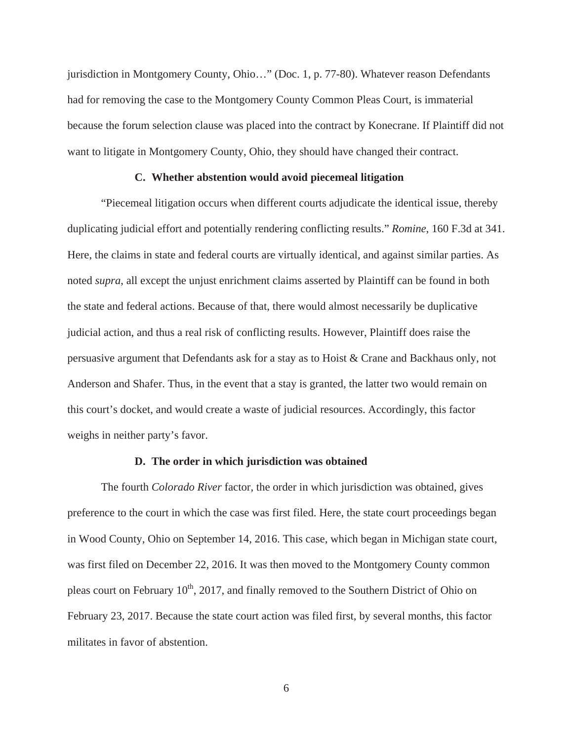jurisdiction in Montgomery County, Ohio…" (Doc. 1, p. 77-80). Whatever reason Defendants had for removing the case to the Montgomery County Common Pleas Court, is immaterial because the forum selection clause was placed into the contract by Konecrane. If Plaintiff did not want to litigate in Montgomery County, Ohio, they should have changed their contract.

# **C. Whether abstention would avoid piecemeal litigation**

"Piecemeal litigation occurs when different courts adjudicate the identical issue, thereby duplicating judicial effort and potentially rendering conflicting results." *Romine*, 160 F.3d at 341. Here, the claims in state and federal courts are virtually identical, and against similar parties. As noted *supra*, all except the unjust enrichment claims asserted by Plaintiff can be found in both the state and federal actions. Because of that, there would almost necessarily be duplicative judicial action, and thus a real risk of conflicting results. However, Plaintiff does raise the persuasive argument that Defendants ask for a stay as to Hoist & Crane and Backhaus only, not Anderson and Shafer. Thus, in the event that a stay is granted, the latter two would remain on this court's docket, and would create a waste of judicial resources. Accordingly, this factor weighs in neither party's favor.

#### **D. The order in which jurisdiction was obtained**

The fourth *Colorado River* factor, the order in which jurisdiction was obtained, gives preference to the court in which the case was first filed. Here, the state court proceedings began in Wood County, Ohio on September 14, 2016. This case, which began in Michigan state court, was first filed on December 22, 2016. It was then moved to the Montgomery County common pleas court on February  $10^{th}$ , 2017, and finally removed to the Southern District of Ohio on February 23, 2017. Because the state court action was filed first, by several months, this factor militates in favor of abstention.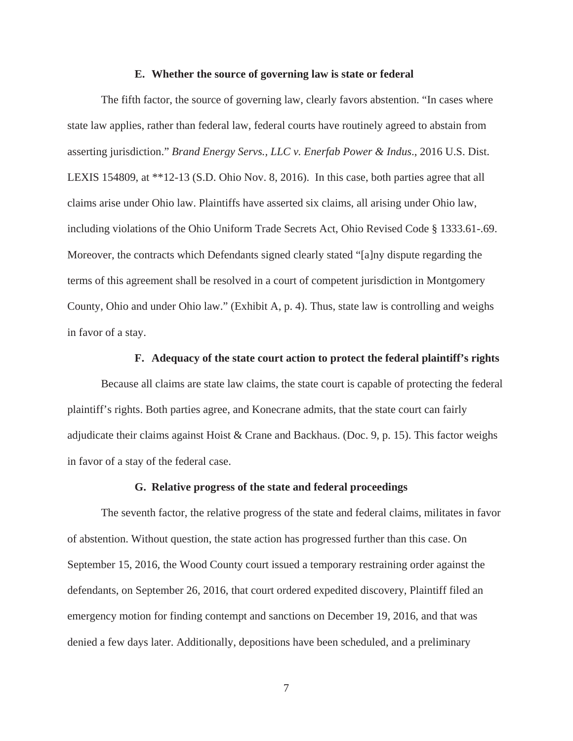#### **E. Whether the source of governing law is state or federal**

The fifth factor, the source of governing law, clearly favors abstention. "In cases where state law applies, rather than federal law, federal courts have routinely agreed to abstain from asserting jurisdiction." *Brand Energy Servs., LLC v. Enerfab Power & Indus*., 2016 U.S. Dist. LEXIS 154809, at \*\*12-13 (S.D. Ohio Nov. 8, 2016). In this case, both parties agree that all claims arise under Ohio law. Plaintiffs have asserted six claims, all arising under Ohio law, including violations of the Ohio Uniform Trade Secrets Act, Ohio Revised Code § 1333.61-.69. Moreover, the contracts which Defendants signed clearly stated "[a]ny dispute regarding the terms of this agreement shall be resolved in a court of competent jurisdiction in Montgomery County, Ohio and under Ohio law." (Exhibit A, p. 4). Thus, state law is controlling and weighs in favor of a stay.

# **F. Adequacy of the state court action to protect the federal plaintiff's rights**

Because all claims are state law claims, the state court is capable of protecting the federal plaintiff's rights. Both parties agree, and Konecrane admits, that the state court can fairly adjudicate their claims against Hoist & Crane and Backhaus. (Doc. 9, p. 15). This factor weighs in favor of a stay of the federal case.

#### **G. Relative progress of the state and federal proceedings**

The seventh factor, the relative progress of the state and federal claims, militates in favor of abstention. Without question, the state action has progressed further than this case. On September 15, 2016, the Wood County court issued a temporary restraining order against the defendants, on September 26, 2016, that court ordered expedited discovery, Plaintiff filed an emergency motion for finding contempt and sanctions on December 19, 2016, and that was denied a few days later. Additionally, depositions have been scheduled, and a preliminary